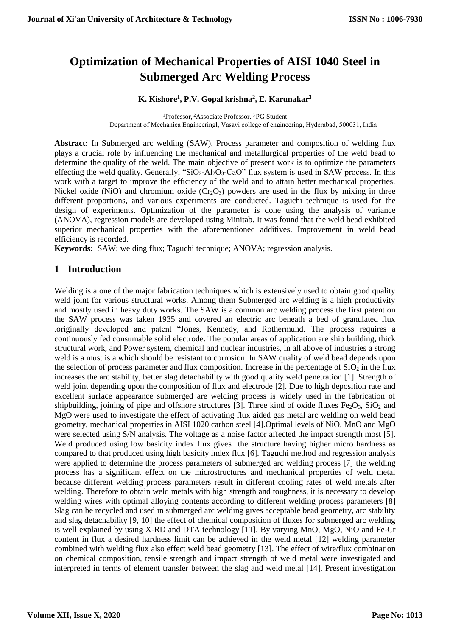# **Optimization of Mechanical Properties of AISI 1040 Steel in Submerged Arc Welding Process**

#### **K. Kishore<sup>1</sup> , P.V. Gopal krishna<sup>2</sup> , E. Karunakar<sup>3</sup>**

<sup>1</sup>Professor, <sup>2</sup>Associate Professor. <sup>3</sup> PG Student Department of Mechanica Engineeringl, Vasavi college of engineering, Hyderabad, 500031, India

**Abstract:** In Submerged arc welding (SAW), Process parameter and composition of welding flux plays a crucial role by influencing the mechanical and metallurgical properties of the weld bead to determine the quality of the weld. The main objective of present work is to optimize the parameters effecting the weld quality. Generally, "SiO<sub>2</sub>-Al<sub>2</sub>O<sub>3</sub>-CaO" flux system is used in SAW process. In this work with a target to improve the efficiency of the weld and to attain better mechanical properties. Nickel oxide (NiO) and chromium oxide  $(Cr_2O_3)$  powders are used in the flux by mixing in three different proportions, and various experiments are conducted. Taguchi technique is used for the design of experiments. Optimization of the parameter is done using the analysis of variance (ANOVA), regression models are developed using Minitab. It was found that the weld bead exhibited superior mechanical properties with the aforementioned additives. Improvement in weld bead efficiency is recorded.

**Keywords:** SAW; welding flux; Taguchi technique; ANOVA; regression analysis.

#### **1 Introduction**

Welding is a one of the major fabrication techniques which is extensively used to obtain good quality weld joint for various structural works. Among them Submerged arc welding is a high productivity and mostly used in heavy duty works. The SAW is a common arc welding process the first patent on the SAW process was taken 1935 and covered an electric arc beneath a bed of granulated flux .originally developed and patent "Jones, Kennedy, and Rothermund. The process requires a continuously fed consumable solid electrode. The popular areas of application are ship building, thick structural work, and Power system, chemical and nuclear industries, in all above of industries a strong weld is a must is a which should be resistant to corrosion. In SAW quality of weld bead depends upon the selection of process parameter and flux composition. Increase in the percentage of  $SiO<sub>2</sub>$  in the flux increases the arc stability, better slag detachability with good quality weld penetration [1]. Strength of weld joint depending upon the composition of flux and electrode [2]. Due to high deposition rate and excellent surface appearance submerged are welding process is widely used in the fabrication of shipbuilding, joining of pipe and offshore structures [3]. Three kind of oxide fluxes  $Fe<sub>2</sub>O<sub>3</sub>$ , SiO<sub>2</sub> and MgO were used to investigate the effect of activating flux aided gas metal arc welding on weld bead geometry, mechanical properties in AISI 1020 carbon steel [4].Optimal levels of NiO, MnO and MgO were selected using S/N analysis. The voltage as a noise factor affected the impact strength most [5]. Weld produced using low basicity index flux gives the structure having higher micro hardness as compared to that produced using high basicity index flux [6]. Taguchi method and regression analysis were applied to determine the process parameters of submerged arc welding process [7] the welding process has a significant effect on the microstructures and mechanical properties of weld metal because different welding process parameters result in different cooling rates of weld metals after welding. Therefore to obtain weld metals with high strength and toughness, it is necessary to develop welding wires with optimal alloying contents according to different welding process parameters [8] Slag can be recycled and used in submerged arc welding gives acceptable bead geometry, arc stability and slag detachability [9, 10] the effect of chemical composition of fluxes for submerged arc welding is well explained by using X-RD and DTA technology [11]. By varying MnO, MgO, NiO and Fe-Cr content in flux a desired hardness limit can be achieved in the weld metal [12] welding parameter combined with welding flux also effect weld bead geometry [13]. The effect of wire/flux combination on chemical composition, tensile strength and impact strength of weld metal were investigated and interpreted in terms of element transfer between the slag and weld metal [14]. Present investigation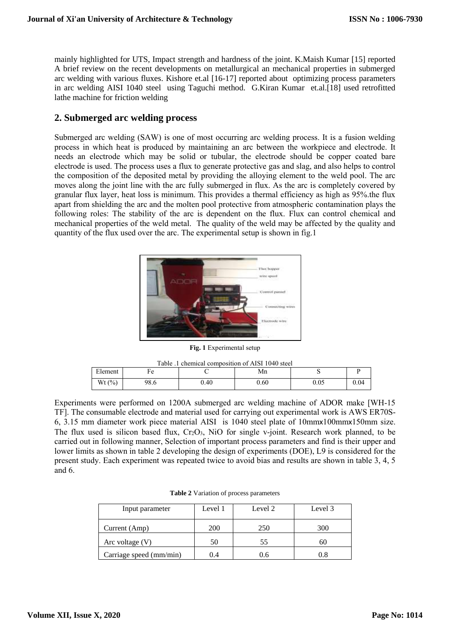mainly highlighted for UTS, Impact strength and hardness of the joint. K.Maish Kumar [15] reported A brief review on the recent developments on metallurgical an mechanical properties in submerged arc welding with various fluxes. Kishore et.al [16-17] reported about optimizing process parameters in arc welding AISI 1040 steel using Taguchi method. G.Kiran Kumar et.al.[18] used retrofitted lathe machine for friction welding

#### **2. Submerged arc welding process**

Submerged arc welding (SAW) is one of most occurring arc welding process. It is a fusion welding process in which heat is produced by maintaining an arc between the workpiece and electrode. It needs an electrode which may be solid or tubular, the electrode should be copper coated bare electrode is used. The process uses a flux to generate protective gas and slag, and also helps to control the composition of the deposited metal by providing the alloying element to the weld pool. The arc moves along the joint line with the arc fully submerged in flux. As the arc is completely covered by granular flux layer, heat loss is minimum. This provides a thermal efficiency as high as 95%.the flux apart from shielding the arc and the molten pool protective from atmospheric contamination plays the following roles: The stability of the arc is dependent on the flux. Flux can control chemical and mechanical properties of the weld metal. The quality of the weld may be affected by the quality and quantity of the flux used over the arc. The experimental setup is shown in fig.1



**Fig. 1** Experimental setup

| Table .1 chemical composition of AISI 1040 steel |      |      |      |          |      |  |  |  |  |
|--------------------------------------------------|------|------|------|----------|------|--|--|--|--|
| Element<br>Mn<br>Fе                              |      |      |      |          |      |  |  |  |  |
| Wt $(%)$                                         | 98.6 | 0.40 | 0.60 | $0.05\,$ | 0.04 |  |  |  |  |

Experiments were performed on 1200A submerged arc welding machine of ADOR make [WH-15 TF]. The consumable electrode and material used for carrying out experimental work is AWS ER70S-6, 3.15 mm diameter work piece material AISI is 1040 steel plate of 10mmx100mmx150mm size. The flux used is silicon based flux,  $Cr_2O_3$ , NiO for single v-joint. Research work planned, to be carried out in following manner, Selection of important process parameters and find is their upper and lower limits as shown in table 2 developing the design of experiments (DOE), L9 is considered for the present study. Each experiment was repeated twice to avoid bias and results are shown in table 3, 4, 5 and 6.

| Input parameter         | Level 1 | Level 2 | Level 3 |
|-------------------------|---------|---------|---------|
| Current (Amp)           | 200     | 250     | 300     |
| Arc voltage $(V)$       | 50      | 55      | 60      |
| Carriage speed (mm/min) | 0.4     |         |         |

**Table 2** Variation of process parameters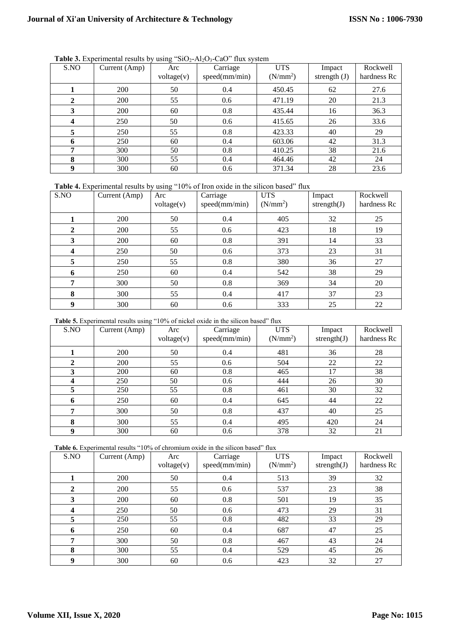| S.NO | Current (Amp) | Arc<br>voltage(v) | Carriage<br>speed(mm/min) | <b>UTS</b><br>(N/mm <sup>2</sup> ) | Impact<br>strength $(J)$ | Rockwell<br>hardness Rc |
|------|---------------|-------------------|---------------------------|------------------------------------|--------------------------|-------------------------|
|      | 200           | 50                | 0.4                       | 450.45                             | 62                       | 27.6                    |
| 2    | 200           | 55                | 0.6                       | 471.19                             | 20                       | 21.3                    |
| 3    | 200           | 60                | 0.8                       | 435.44                             | 16                       | 36.3                    |
| 4    | 250           | 50                | 0.6                       | 415.65                             | 26                       | 33.6                    |
| 5    | 250           | 55                | 0.8                       | 423.33                             | 40                       | 29                      |
| 6    | 250           | 60                | 0.4                       | 603.06                             | 42                       | 31.3                    |
| ៗ    | 300           | 50                | 0.8                       | 410.25                             | 38                       | 21.6                    |
| 8    | 300           | 55                | 0.4                       | 464.46                             | 42                       | 24                      |
| 9    | 300           | 60                | 0.6                       | 371.34                             | 28                       | 23.6                    |

Table 3. Experimental results by using "SiO<sub>2</sub>-Al<sub>2</sub>O<sub>3</sub>-CaO" flux system

**Table 4.** Experimental results by using "10% of Iron oxide in the silicon based" flux

| S.NO             | Current (Amp) | Arc<br>voltage(v) | Carriage<br>speed(mm/min) | <b>UTS</b><br>(N/mm <sup>2</sup> ) | Impact<br>strength $(J)$ | Rockwell<br>hardness Rc |
|------------------|---------------|-------------------|---------------------------|------------------------------------|--------------------------|-------------------------|
|                  | 200           | 50                | 0.4                       | 405                                | 32                       | 25                      |
| $\mathbf{2}$     | 200           | 55                | 0.6                       | 423                                | 18                       | 19                      |
| 3                | 200           | 60                | 0.8                       | 391                                | 14                       | 33                      |
| $\boldsymbol{4}$ | 250           | 50                | 0.6                       | 373                                | 23                       | 31                      |
| 5                | 250           | 55                | 0.8                       | 380                                | 36                       | 27                      |
| 6                | 250           | 60                | 0.4                       | 542                                | 38                       | 29                      |
| 7                | 300           | 50                | 0.8                       | 369                                | 34                       | 20                      |
| 8                | 300           | 55                | 0.4                       | 417                                | 37                       | 23                      |
| 9                | 300           | 60                | 0.6                       | 333                                | 25                       | 22                      |

**Table 5.** Experimental results using "10% of nickel oxide in the silicon based" flux

| S.NO | Current (Amp) | Arc        | Carriage      | <b>UTS</b>           | Impact         | Rockwell    |
|------|---------------|------------|---------------|----------------------|----------------|-------------|
|      |               | voltage(v) | speed(mm/min) | (N/mm <sup>2</sup> ) | strength $(J)$ | hardness Rc |
|      | 200           | 50         | 0.4           | 481                  | 36             | 28          |
| 2    | 200           | 55         | 0.6           | 504                  | 22             | 22          |
| 3    | 200           | 60         | 0.8           | 465                  | 17             | 38          |
| 4    | 250           | 50         | 0.6           | 444                  | 26             | 30          |
| 5    | 250           | 55         | 0.8           | 461                  | 30             | 32          |
| 6    | 250           | 60         | 0.4           | 645                  | 44             | 22          |
| 7    | 300           | 50         | 0.8           | 437                  | 40             | 25          |
| 8    | 300           | 55         | 0.4           | 495                  | 420            | 24          |
| 9    | 300           | 60         | 0.6           | 378                  | 32             | 21          |

**Table 6.** Experimental results "10% of chromium oxide in the silicon based" flux

| S.NO             | Current (Amp) | Arc<br>voltage(v) | Carriage<br>speed(mm/min) | <b>UTS</b><br>(N/mm <sup>2</sup> ) | Impact<br>strength $(J)$ | Rockwell<br>hardness Rc |
|------------------|---------------|-------------------|---------------------------|------------------------------------|--------------------------|-------------------------|
|                  | 200           | 50                | 0.4                       | 513                                | 39                       | 32                      |
| 2                | 200           | 55                | 0.6                       | 537                                | 23                       | 38                      |
| 3                | 200           | 60                | 0.8                       | 501                                | 19                       | 35                      |
| $\boldsymbol{4}$ | 250           | 50                | 0.6                       | 473                                | 29                       | 31                      |
| 5                | 250           | 55                | 0.8                       | 482                                | 33                       | 29                      |
| 6                | 250           | 60                | 0.4                       | 687                                | 47                       | 25                      |
| 7                | 300           | 50                | 0.8                       | 467                                | 43                       | 24                      |
| 8                | 300           | 55                | 0.4                       | 529                                | 45                       | 26                      |
| 9                | 300           | 60                | 0.6                       | 423                                | 32                       | 27                      |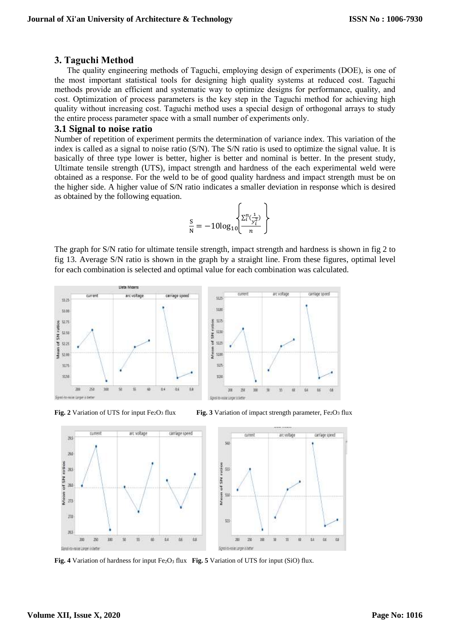#### **3. Taguchi Method**

The quality engineering methods of Taguchi, employing design of experiments (DOE), is one of the most important statistical tools for designing high quality systems at reduced cost. Taguchi methods provide an efficient and systematic way to optimize designs for performance, quality, and cost. Optimization of process parameters is the key step in the Taguchi method for achieving high quality without increasing cost. Taguchi method uses a special design of orthogonal arrays to study the entire process parameter space with a small number of experiments only.

#### **3.1 Signal to noise ratio**

Number of repetition of experiment permits the determination of variance index. This variation of the index is called as a signal to noise ratio (S/N). The S/N ratio is used to optimize the signal value. It is basically of three type lower is better, higher is better and nominal is better. In the present study, Ultimate tensile strength (UTS), impact strength and hardness of the each experimental weld were obtained as a response. For the weld to be of good quality hardness and impact strength must be on the higher side. A higher value of S/N ratio indicates a smaller deviation in response which is desired as obtained by the following equation.

$$
\frac{S}{N} = -10\log_{10}\left\{\frac{\sum_{i}^{n}(\frac{1}{\gamma_i^2})}{n}\right\}
$$

The graph for S/N ratio for ultimate tensile strength, impact strength and hardness is shown in fig 2 to fig 13. Average S/N ratio is shown in the graph by a straight line. From these figures, optimal level for each combination is selected and optimal value for each combination was calculated.





**Fig. 2** Variation of UTS for input Fe<sub>2</sub>O<sub>3</sub> flux **Fig. 3** Variation of impact strength parameter, Fe<sub>2</sub>O<sub>3</sub> flux



**Fig. 4** Variation of hardness for input Fe<sub>2</sub>O<sub>3</sub> flux **Fig. 5** Variation of UTS for input (SiO) flux.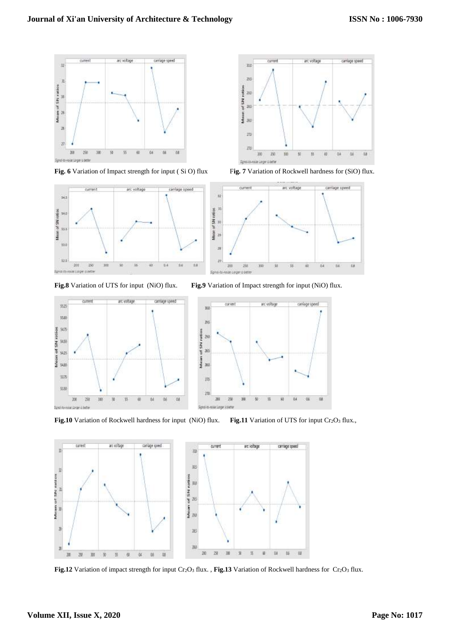

Fig. 6 Variation of Impact strength for input (SiO) flux Fig. 7 Variation of Rockwell hardness for (SiO) flux.







Fig.10 Variation of Rockwell hardness for input (NiO) flux. Fig.11 Variation of UTS for input Cr<sub>2</sub>O<sub>3</sub> flux.,



**Fig.12** Variation of impact strength for input Cr2O<sup>3</sup> flux. , **Fig.13** Variation of Rockwell hardness for Cr2O<sup>3</sup> flux.





18

**Fig.8** Variation of UTS for input (NiO) flux. **Fig.9** Variation of Impact strength for input (NiO) flux.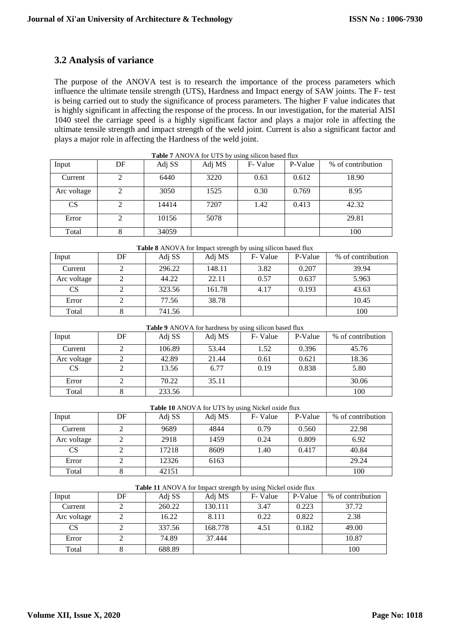### **3.2 Analysis of variance**

The purpose of the ANOVA test is to research the importance of the process parameters which influence the ultimate tensile strength (UTS), Hardness and Impact energy of SAW joints. The F- test is being carried out to study the significance of process parameters. The higher F value indicates that is highly significant in affecting the response of the process. In our investigation, for the material AISI 1040 steel the carriage speed is a highly significant factor and plays a major role in affecting the ultimate tensile strength and impact strength of the weld joint. Current is also a significant factor and plays a major role in affecting the Hardness of the weld joint.

| <b>THOIC</b> FINTO TITION CTD 0) ability billion babour man |    |        |        |         |         |                   |  |
|-------------------------------------------------------------|----|--------|--------|---------|---------|-------------------|--|
| Input                                                       | DF | Adj SS | Adj MS | F-Value | P-Value | % of contribution |  |
| Current                                                     |    | 6440   | 3220   | 0.63    | 0.612   | 18.90             |  |
| Arc voltage                                                 |    | 3050   | 1525   | 0.30    | 0.769   | 8.95              |  |
| <b>CS</b>                                                   |    | 14414  | 7207   | 1.42    | 0.413   | 42.32             |  |
| Error                                                       |    | 10156  | 5078   |         |         | 29.81             |  |
| Total                                                       |    | 34059  |        |         |         | 100               |  |

| Input       | DF | Adj SS | Adj MS | F-Value | P-Value | % of contribution |
|-------------|----|--------|--------|---------|---------|-------------------|
| Current     |    | 296.22 | 148.11 | 3.82    | 0.207   | 39.94             |
| Arc voltage |    | 44.22  | 22.11  | 0.57    | 0.637   | 5.963             |
| <b>CS</b>   |    | 323.56 | 161.78 | 4.17    | 0.193   | 43.63             |
| Error       |    | 77.56  | 38.78  |         |         | 10.45             |
| Total       |    | 741.56 |        |         |         | 100               |

**Table 8** ANOVA for Impact strength by using silicon based flux

| Table 9 ANOVA for hardness by using silicon based flux |  |  |  |  |
|--------------------------------------------------------|--|--|--|--|
|                                                        |  |  |  |  |

| Input       | DF | Adj SS | Adj MS | F-Value | P-Value | % of contribution |
|-------------|----|--------|--------|---------|---------|-------------------|
| Current     |    | 106.89 | 53.44  | 1.52    | 0.396   | 45.76             |
| Arc voltage |    | 42.89  | 21.44  | 0.61    | 0.621   | 18.36             |
| <b>CS</b>   |    | 13.56  | 6.77   | 0.19    | 0.838   | 5.80              |
| Error       |    | 70.22  | 35.11  |         |         | 30.06             |
| Total       |    | 233.56 |        |         |         | 100               |

|  |  | Table 10 ANOVA for UTS by using Nickel oxide flux |
|--|--|---------------------------------------------------|
|  |  |                                                   |

| Input       | DF | Adj SS | Adj MS | F-Value | P-Value | % of contribution |
|-------------|----|--------|--------|---------|---------|-------------------|
| Current     |    | 9689   | 4844   | 0.79    | 0.560   | 22.98             |
| Arc voltage |    | 2918   | 1459   | 0.24    | 0.809   | 6.92              |
| <b>CS</b>   |    | 17218  | 8609   | 1.40    | 0.417   | 40.84             |
| Error       |    | 12326  | 6163   |         |         | 29.24             |
| Total       |    | 42151  |        |         |         | 100               |

| Input       | DF | Adi SS | Adj MS  | F-Value | P-Value | % of contribution |
|-------------|----|--------|---------|---------|---------|-------------------|
| Current     |    | 260.22 | 130.111 | 3.47    | 0.223   | 37.72             |
| Arc voltage |    | 16.22  | 8.111   | 0.22    | 0.822   | 2.38              |
| <b>CS</b>   |    | 337.56 | 168.778 | 4.51    | 0.182   | 49.00             |
| Error       |    | 74.89  | 37.444  |         |         | 10.87             |
| Total       |    | 688.89 |         |         |         | 100               |

#### **Table 11** ANOVA for Impact strength by using Nickel oxide flux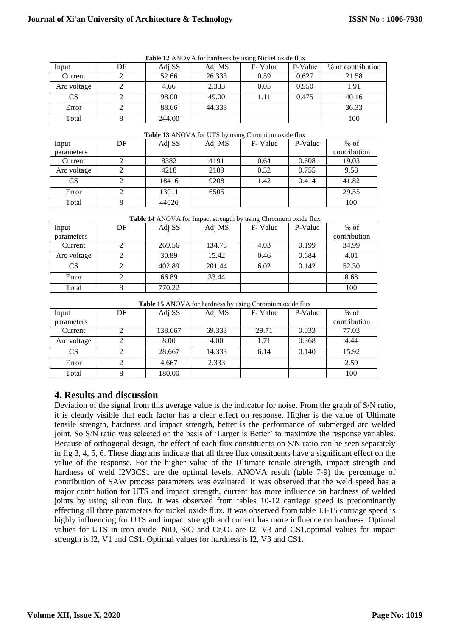| <b>Table 12</b> ANOVA for nardness by using Nickel oxide flux |    |        |        |         |         |                   |  |  |
|---------------------------------------------------------------|----|--------|--------|---------|---------|-------------------|--|--|
| Input                                                         | DF | Adj SS | Adj MS | F-Value | P-Value | % of contribution |  |  |
| Current                                                       |    | 52.66  | 26.333 | 0.59    | 0.627   | 21.58             |  |  |
| Arc voltage                                                   |    | 4.66   | 2.333  | 0.05    | 0.950   | 1.91              |  |  |
| <b>CS</b>                                                     |    | 98.00  | 49.00  | 1.11    | 0.475   | 40.16             |  |  |
| Error                                                         |    | 88.66  | 44.333 |         |         | 36.33             |  |  |
| Total                                                         |    | 244.00 |        |         |         | 100               |  |  |

**Table 13** ANOVA for UTS by using Chromium oxide flux

**Table 12** ANOVA for hardness by using Nickel oxide flux

| <b>Table 13</b> ANOVA for UTS by using Chromium oxide flux |    |        |        |         |         |              |  |  |
|------------------------------------------------------------|----|--------|--------|---------|---------|--------------|--|--|
| Input                                                      | DF | Adj SS | Adj MS | F-Value | P-Value | $%$ of       |  |  |
| parameters                                                 |    |        |        |         |         | contribution |  |  |
| Current                                                    |    | 8382   | 4191   | 0.64    | 0.608   | 19.03        |  |  |
| Arc voltage                                                |    | 4218   | 2109   | 0.32    | 0.755   | 9.58         |  |  |
| <b>CS</b>                                                  |    | 18416  | 9208   | 1.42    | 0.414   | 41.82        |  |  |
| Error                                                      |    | 13011  | 6505   |         |         | 29.55        |  |  |
| Total                                                      |    | 44026  |        |         |         | 100          |  |  |

**Table 14** ANOVA for Impact strength by using Chromium oxide flux

| Input       | DF | Adj SS | Adj MS | F-Value | P-Value | $%$ of       |
|-------------|----|--------|--------|---------|---------|--------------|
| parameters  |    |        |        |         |         | contribution |
| Current     |    | 269.56 | 134.78 | 4.03    | 0.199   | 34.99        |
| Arc voltage | 2  | 30.89  | 15.42  | 0.46    | 0.684   | 4.01         |
| <b>CS</b>   |    | 402.89 | 201.44 | 6.02    | 0.142   | 52.30        |
| Error       |    | 66.89  | 33.44  |         |         | 8.68         |
| Total       |    | 770.22 |        |         |         | 100          |

**Table 15** ANOVA for hardness by using Chromium oxide flux

| Input       | DF | Adj SS  | Adj MS | F-Value | P-Value | $%$ of       |
|-------------|----|---------|--------|---------|---------|--------------|
| parameters  |    |         |        |         |         | contribution |
| Current     |    | 138.667 | 69.333 | 29.71   | 0.033   | 77.03        |
| Arc voltage | 2  | 8.00    | 4.00   | 1.71    | 0.368   | 4.44         |
| <b>CS</b>   |    | 28.667  | 14.333 | 6.14    | 0.140   | 15.92        |
| Error       | 2  | 4.667   | 2.333  |         |         | 2.59         |
| Total       |    | 180.00  |        |         |         | 100          |

### **4. Results and discussion**

Deviation of the signal from this average value is the indicator for noise. From the graph of S/N ratio, it is clearly visible that each factor has a clear effect on response. Higher is the value of Ultimate tensile strength, hardness and impact strength, better is the performance of submerged arc welded joint. So S/N ratio was selected on the basis of 'Larger is Better' to maximize the response variables. Because of orthogonal design, the effect of each flux constituents on S/N ratio can be seen separately in fig 3, 4, 5, 6. These diagrams indicate that all three flux constituents have a significant effect on the value of the response. For the higher value of the Ultimate tensile strength, impact strength and hardness of weld I2V3CS1 are the optimal levels. ANOVA result (table 7-9) the percentage of contribution of SAW process parameters was evaluated. It was observed that the weld speed has a major contribution for UTS and impact strength, current has more influence on hardness of welded joints by using silicon flux. It was observed from tables 10-12 carriage speed is predominantly effecting all three parameters for nickel oxide flux. It was observed from table 13-15 carriage speed is highly influencing for UTS and impact strength and current has more influence on hardness. Optimal values for UTS in iron oxide, NiO, SiO and  $Cr_2O_3$  are I2, V3 and CS1.optimal values for impact strength is I2, V1 and CS1. Optimal values for hardness is I2, V3 and CS1.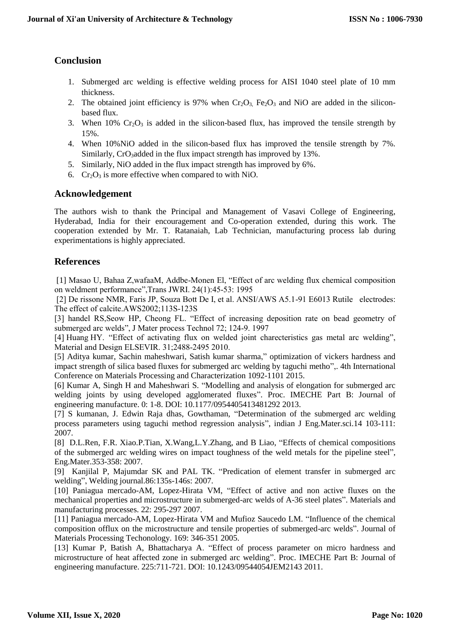## **Conclusion**

- 1. Submerged arc welding is effective welding process for AISI 1040 steel plate of 10 mm thickness.
- 2. The obtained joint efficiency is 97% when  $Cr_2O_3$ , Fe<sub>2</sub>O<sub>3</sub> and NiO are added in the siliconbased flux.
- 3. When 10%  $Cr_2O_3$  is added in the silicon-based flux, has improved the tensile strength by 15%.
- 4. When 10%NiO added in the silicon-based flux has improved the tensile strength by 7%. Similarly, CrO<sub>3</sub>added in the flux impact strength has improved by 13%.
- 5. Similarly, NiO added in the flux impact strength has improved by 6%.
- 6.  $Cr_2O_3$  is more effective when compared to with NiO.

### **Acknowledgement**

The authors wish to thank the Principal and Management of Vasavi College of Engineering, Hyderabad, India for their encouragement and Co-operation extended, during this work. The cooperation extended by Mr. T. Ratanaiah, Lab Technician, manufacturing process lab during experimentations is highly appreciated.

### **References**

[1] Masao U, Bahaa Z,wafaaM, Addbe-Monen El, "Effect of arc welding flux chemical composition on weldment performance",Trans JWRI. 24(1):45-53: 1995

[2] De rissone NMR, Faris JP, Souza Bott De I, et al. ANSI/AWS A5.1-91 E6013 Rutile electrodes: The effect of calcite.AWS2002;113S-123S

[3] handel RS,Seow HP, Cheong FL. "Effect of increasing deposition rate on bead geometry of submerged arc welds", J Mater process Technol 72; 124-9. 1997

[4] Huang HY. "Effect of activating flux on welded joint charecteristics gas metal arc welding", Material and Design ELSEVIR. 31;2488-2495 2010.

[5] Aditya kumar, Sachin maheshwari, Satish kumar sharma," optimization of vickers hardness and impact strength of silica based fluxes for submerged arc welding by taguchi metho",. 4th International Conference on Materials Processing and Characterization 1092-1101 2015.

[6] Kumar A, Singh H and Maheshwari S. "Modelling and analysis of elongation for submerged arc welding joints by using developed agglomerated fluxes". Proc. IMECHE Part B: Journal of engineering manufacture. 0: 1-8. DOI: 10.1177/0954405413481292 2013.

[7] S kumanan, J. Edwin Raja dhas, Gowthaman, "Determination of the submerged arc welding process parameters using taguchi method regression analysis", indian J Eng.Mater.sci.14 103-111: 2007.

[8] D.L.Ren, F.R. Xiao.P.Tian, X.Wang,L.Y.Zhang, and B Liao, "Effects of chemical compositions of the submerged arc welding wires on impact toughness of the weld metals for the pipeline steel", Eng.Mater.353-358: 2007.

[9] Kanjilal P, Majumdar SK and PAL TK. "Predication of element transfer in submerged arc welding", Welding journal.86:135s-146s: 2007.

[10] Paniagua mercado-AM, Lopez-Hirata VM, "Effect of active and non active fluxes on the mechanical properties and microstructure in submerged-arc welds of A-36 steel plates". Materials and manufacturing processes. 22: 295-297 2007.

[11] Paniagua mercado-AM, Lopez-Hirata VM and Mufioz Saucedo LM. "Influence of the chemical composition offlux on the microstructure and tensile properties of submerged-arc welds". Journal of Materials Processing Techonology. 169: 346-351 2005.

[13] Kumar P, Batish A, Bhattacharya A. "Effect of process parameter on micro hardness and microstructure of heat affected zone in submerged arc welding". Proc. IMECHE Part B: Journal of engineering manufacture. 225:711-721. DOI: 10.1243/09544054JEM2143 2011.